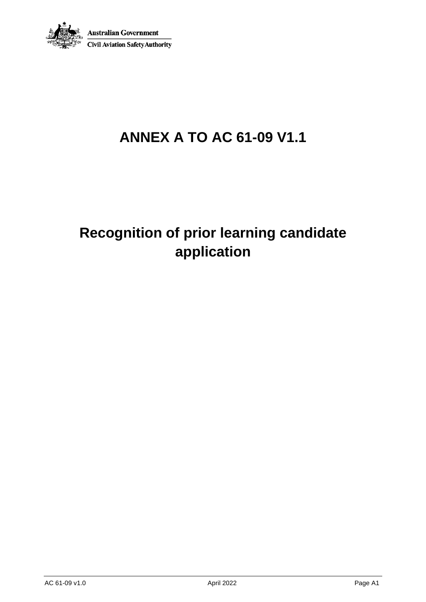

## **ANNEX A TO AC 61-09 V1.1**

## **Recognition of prior learning candidate application**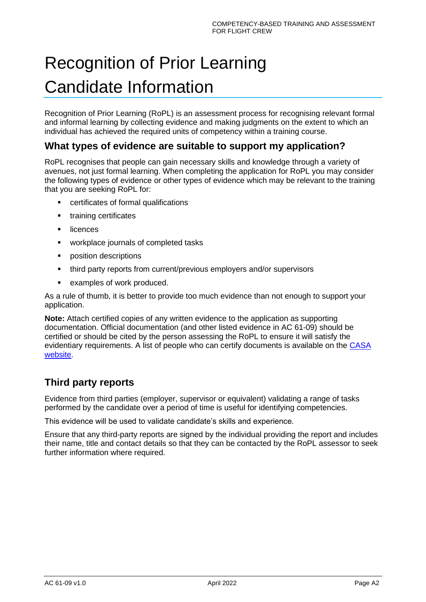# Recognition of Prior Learning Candidate Information

Recognition of Prior Learning (RoPL) is an assessment process for recognising relevant formal and informal learning by collecting evidence and making judgments on the extent to which an individual has achieved the required units of competency within a training course.

### **What types of evidence are suitable to support my application?**

RoPL recognises that people can gain necessary skills and knowledge through a variety of avenues, not just formal learning. When completing the application for RoPL you may consider the following types of evidence or other types of evidence which may be relevant to the training that you are seeking RoPL for:

- certificates of formal qualifications
- **•** training certificates
- licences
- workplace journals of completed tasks
- position descriptions
- third party reports from current/previous employers and/or supervisors
- examples of work produced.

As a rule of thumb, it is better to provide too much evidence than not enough to support your application.

**Note:** Attach certified copies of any written evidence to the application as supporting documentation. Official documentation (and other listed evidence in AC 61-09) should be certified or should be cited by the person assessing the RoPL to ensure it will satisfy the evidentiary requirements. A list of people who can certify documents is available on the [CASA](https://www.casa.gov.au/licences-and-certificates/aviation-reference-numbers/certifying-your-identity-documents)  [website.](https://www.casa.gov.au/licences-and-certificates/aviation-reference-numbers/certifying-your-identity-documents)

### **Third party reports**

Evidence from third parties (employer, supervisor or equivalent) validating a range of tasks performed by the candidate over a period of time is useful for identifying competencies.

This evidence will be used to validate candidate's skills and experience.

Ensure that any third-party reports are signed by the individual providing the report and includes their name, title and contact details so that they can be contacted by the RoPL assessor to seek further information where required.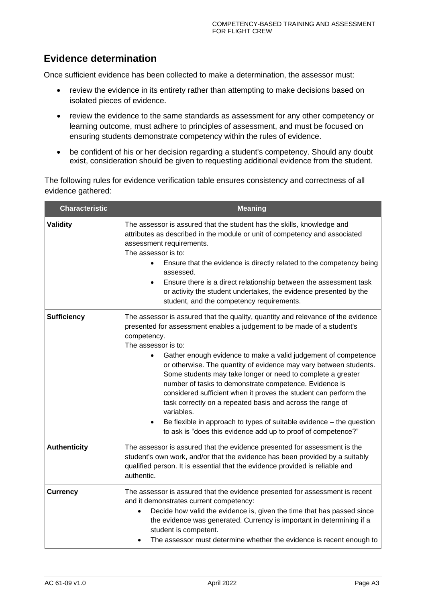### **Evidence determination**

Once sufficient evidence has been collected to make a determination, the assessor must:

- review the evidence in its entirety rather than attempting to make decisions based on isolated pieces of evidence.
- review the evidence to the same standards as assessment for any other competency or learning outcome, must adhere to principles of assessment, and must be focused on ensuring students demonstrate competency within the rules of evidence.
- be confident of his or her decision regarding a student's competency. Should any doubt exist, consideration should be given to requesting additional evidence from the student.

The following rules for evidence verification table ensures consistency and correctness of all evidence gathered:

| <b>Characteristic</b> | <b>Meaning</b>                                                                                                                                                                                                                                                                                                                                                                                                                                                                                                                                                                                                                                                                                                                                            |  |  |
|-----------------------|-----------------------------------------------------------------------------------------------------------------------------------------------------------------------------------------------------------------------------------------------------------------------------------------------------------------------------------------------------------------------------------------------------------------------------------------------------------------------------------------------------------------------------------------------------------------------------------------------------------------------------------------------------------------------------------------------------------------------------------------------------------|--|--|
| <b>Validity</b>       | The assessor is assured that the student has the skills, knowledge and<br>attributes as described in the module or unit of competency and associated<br>assessment requirements.<br>The assessor is to:<br>Ensure that the evidence is directly related to the competency being<br>assessed.<br>Ensure there is a direct relationship between the assessment task<br>$\bullet$<br>or activity the student undertakes, the evidence presented by the<br>student, and the competency requirements.                                                                                                                                                                                                                                                          |  |  |
| <b>Sufficiency</b>    | The assessor is assured that the quality, quantity and relevance of the evidence<br>presented for assessment enables a judgement to be made of a student's<br>competency.<br>The assessor is to:<br>Gather enough evidence to make a valid judgement of competence<br>or otherwise. The quantity of evidence may vary between students.<br>Some students may take longer or need to complete a greater<br>number of tasks to demonstrate competence. Evidence is<br>considered sufficient when it proves the student can perform the<br>task correctly on a repeated basis and across the range of<br>variables.<br>Be flexible in approach to types of suitable evidence – the question<br>to ask is "does this evidence add up to proof of competence?" |  |  |
| <b>Authenticity</b>   | The assessor is assured that the evidence presented for assessment is the<br>student's own work, and/or that the evidence has been provided by a suitably<br>qualified person. It is essential that the evidence provided is reliable and<br>authentic.                                                                                                                                                                                                                                                                                                                                                                                                                                                                                                   |  |  |
| <b>Currency</b>       | The assessor is assured that the evidence presented for assessment is recent<br>and it demonstrates current competency:<br>Decide how valid the evidence is, given the time that has passed since<br>$\bullet$<br>the evidence was generated. Currency is important in determining if a<br>student is competent.<br>The assessor must determine whether the evidence is recent enough to                                                                                                                                                                                                                                                                                                                                                                  |  |  |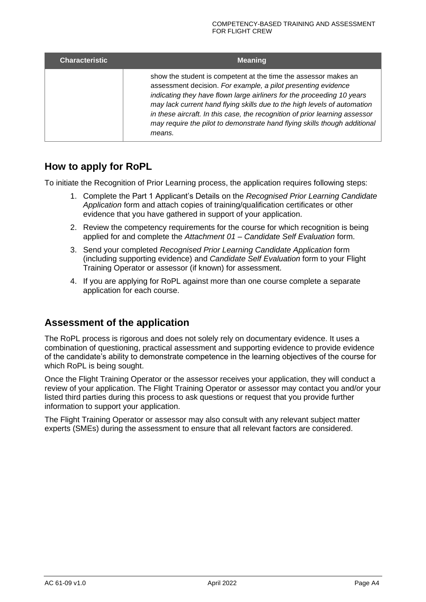| <b>Characteristic</b> | <b>Meaning</b>                                                                                                                                                                                                                                                                                                                                                                                                                                               |  |  |  |  |
|-----------------------|--------------------------------------------------------------------------------------------------------------------------------------------------------------------------------------------------------------------------------------------------------------------------------------------------------------------------------------------------------------------------------------------------------------------------------------------------------------|--|--|--|--|
|                       | show the student is competent at the time the assessor makes an<br>assessment decision. For example, a pilot presenting evidence<br>indicating they have flown large airliners for the proceeding 10 years<br>may lack current hand flying skills due to the high levels of automation<br>in these aircraft. In this case, the recognition of prior learning assessor<br>may require the pilot to demonstrate hand flying skills though additional<br>means. |  |  |  |  |

### **How to apply for RoPL**

To initiate the Recognition of Prior Learning process, the application requires following steps:

- 1. Complete the Part 1 Applicant's Details on the *Recognised Prior Learning Candidate Application* form and attach copies of training/qualification certificates or other evidence that you have gathered in support of your application.
- 2. Review the competency requirements for the course for which recognition is being applied for and complete the *Attachment 01 – Candidate Self Evaluation* form.
- 3. Send your completed *Recognised Prior Learning Candidate Application* form (including supporting evidence) and *Candidate Self Evaluation* form to your Flight Training Operator or assessor (if known) for assessment.
- 4. If you are applying for RoPL against more than one course complete a separate application for each course.

### **Assessment of the application**

The RoPL process is rigorous and does not solely rely on documentary evidence. It uses a combination of questioning, practical assessment and supporting evidence to provide evidence of the candidate's ability to demonstrate competence in the learning objectives of the course for which RoPL is being sought.

Once the Flight Training Operator or the assessor receives your application, they will conduct a review of your application. The Flight Training Operator or assessor may contact you and/or your listed third parties during this process to ask questions or request that you provide further information to support your application.

The Flight Training Operator or assessor may also consult with any relevant subject matter experts (SMEs) during the assessment to ensure that all relevant factors are considered.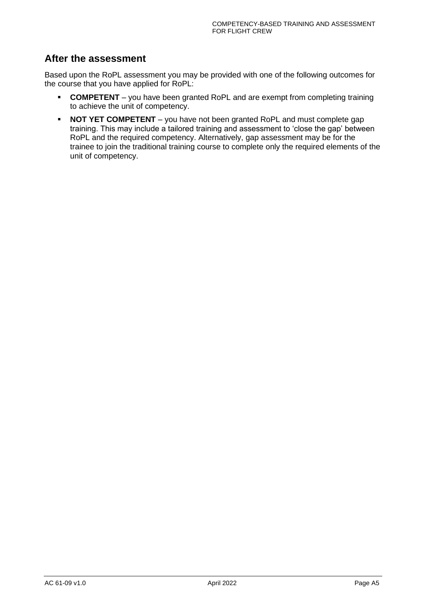### **After the assessment**

Based upon the RoPL assessment you may be provided with one of the following outcomes for the course that you have applied for RoPL:

- **COMPETENT** you have been granted RoPL and are exempt from completing training to achieve the unit of competency.
- **NOT YET COMPETENT** you have not been granted RoPL and must complete gap training. This may include a tailored training and assessment to 'close the gap' between RoPL and the required competency. Alternatively, gap assessment may be for the trainee to join the traditional training course to complete only the required elements of the unit of competency.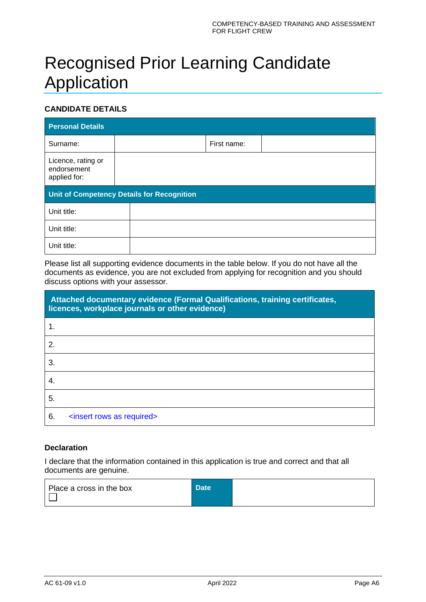## Recognised Prior Learning Candidate Application

### **CANDIDATE DETAILS**

| <b>Personal Details</b>                           |  |  |             |  |  |
|---------------------------------------------------|--|--|-------------|--|--|
| Surname:                                          |  |  | First name: |  |  |
| Licence, rating or<br>endorsement<br>applied for: |  |  |             |  |  |
| Unit of Competency Details for Recognition        |  |  |             |  |  |
|                                                   |  |  |             |  |  |
| Unit title:                                       |  |  |             |  |  |
| Unit title:                                       |  |  |             |  |  |

Please list all supporting evidence documents in the table below. If you do not have all the documents as evidence, you are not excluded from applying for recognition and you should discuss options with your assessor.

|    | Attached documentary evidence (Formal Qualifications, training certificates,<br>licences, workplace journals or other evidence) |
|----|---------------------------------------------------------------------------------------------------------------------------------|
| 1. |                                                                                                                                 |
| 2. |                                                                                                                                 |
| 3. |                                                                                                                                 |
| 4. |                                                                                                                                 |
| 5. |                                                                                                                                 |
| 6. | <insert as="" required="" rows=""></insert>                                                                                     |

#### **Declaration**

I declare that the information contained in this application is true and correct and that all documents are genuine.

| Place a cross in the box | Date <sup>1</sup> |  |
|--------------------------|-------------------|--|
|                          |                   |  |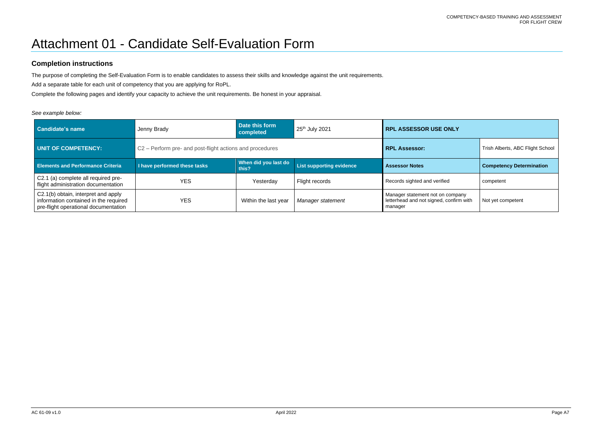#### COMPETENCY-BASED TRAINING AND ASSESSMENT FOR FLIGHT CREW

# Attachment 01 - Candidate Self-Evaluation Form

### **Completion instructions**

The purpose of completing the Self-Evaluation Form is to enable candidates to assess their skills and knowledge against the unit requirements.

Add a separate table for each unit of competency that you are applying for RoPL.

Complete the following pages and identify your capacity to achieve the unit requirements. Be honest in your appraisal.

### *See example below:*

| Candidate's name                                                                                                     | Jenny Brady                                              | Date this form<br>completed   | 25 <sup>th</sup> July 2021      | <b>RPL ASSESSOR USE ONLY</b>                                                           |                                 |
|----------------------------------------------------------------------------------------------------------------------|----------------------------------------------------------|-------------------------------|---------------------------------|----------------------------------------------------------------------------------------|---------------------------------|
| UNIT OF COMPETENCY:                                                                                                  | C2 – Perform pre- and post-flight actions and procedures |                               | <b>RPL Assessor:</b>            | Trish Alberts, ABC Flight School                                                       |                                 |
| <b>Elements and Performance Criteria</b>                                                                             | I have performed these tasks                             | When did you last do<br>this? | <b>List supporting evidence</b> | <b>Assessor Notes</b>                                                                  | <b>Competency Determination</b> |
| C2.1 (a) complete all required pre-<br>flight administration documentation                                           | <b>YES</b>                                               | Yesterday                     | Flight records                  | Records sighted and verified                                                           | competent                       |
| C2.1(b) obtain, interpret and apply<br>information contained in the required<br>pre-flight operational documentation | <b>YES</b>                                               | Within the last year          | Manager statement               | Manager statement not on company<br>letterhead and not signed, confirm with<br>manager | Not yet competent               |